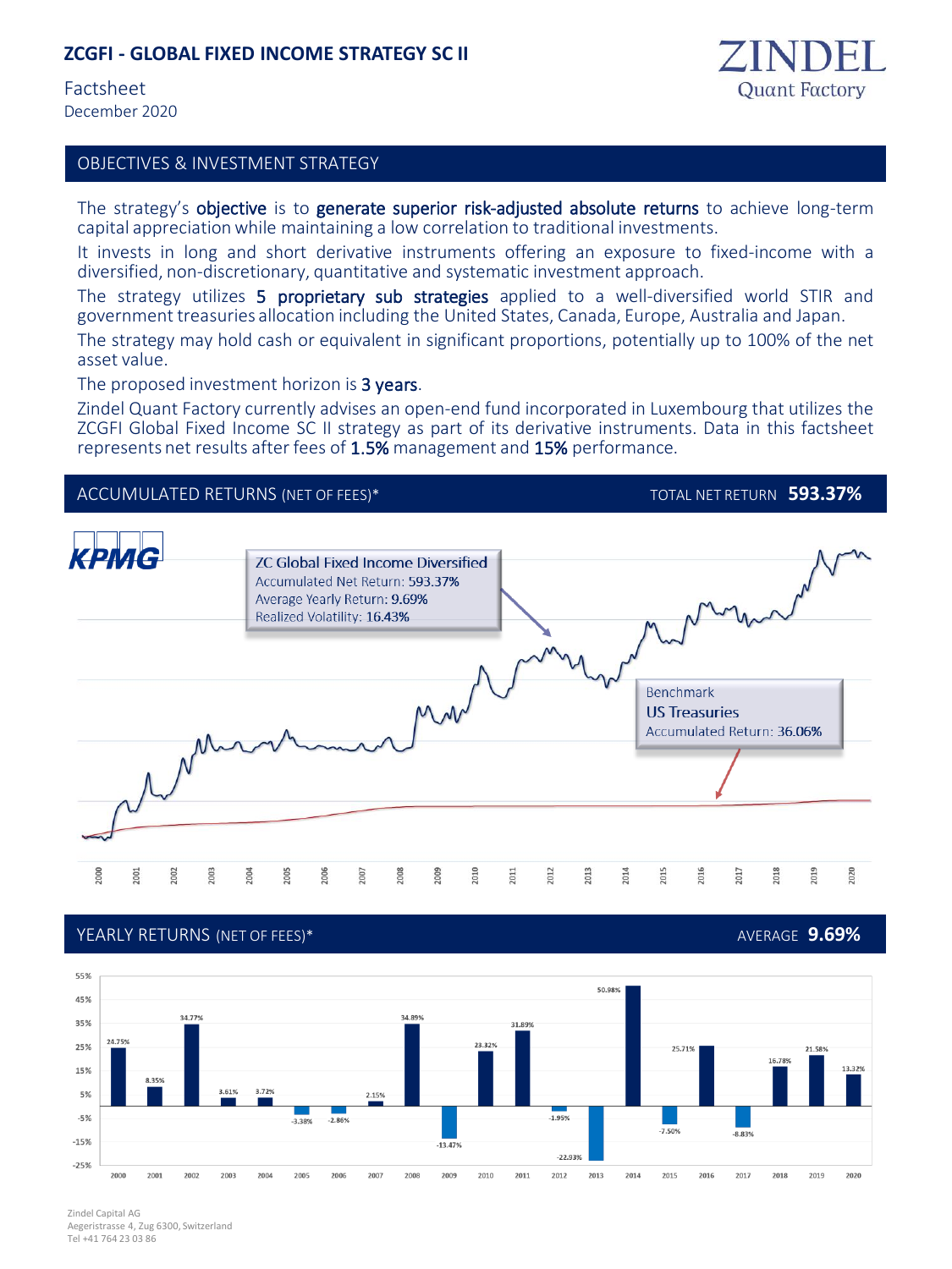## **ZCGFI - GLOBAL FIXED INCOME STRATEGY SC II**

Factsheet December 2020

asset value.



## OBJECTIVES & INVESTMENT STRATEGY

The strategy's objective is to generate superior risk-adjusted absolute returns to achieve long-term capital appreciationwhile maintaining a low correlation to traditional investments.

It invests in long and short derivative instruments offering an exposure to fixed-income with a diversified, non-discretionary, quantitative and systematic investment approach.

The strategy utilizes 5 proprietary sub strategies applied to a well-diversified world STIR and government treasuries allocation including the United States, Canada, Europe, Australia and Japan. The strategy may hold cash or equivalent in significant proportions, potentially up to 100% of the net

The proposed investment horizon is 3 years.

Zindel Quant Factory currently advises an open-end fund incorporated in Luxembourg that utilizes the ZCGFI Global Fixed Income SC II strategy as part of its derivative instruments. Data in this factsheet represents net results after fees of 1.5% management and 15% performance.



### YEARLY RETURNS (NET OF FEES)\* AVERAGE **9.69%**



Zindel Capital AG Aegeristrasse 4, Zug 6300, Switzerland Tel +41 764 23 03 86